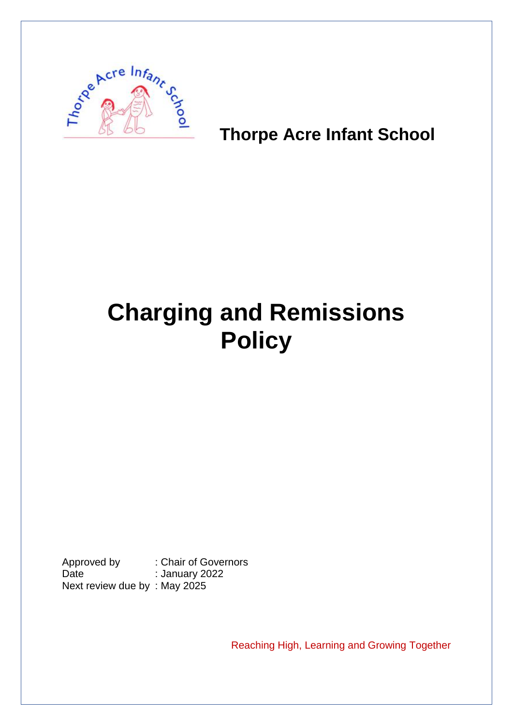

# **Thorpe Acre Infant School**

# **Charging and Remissions Policy**

Approved by : Chair of Governors Date : January 2022 Next review due by : May 2025

Reaching High, Learning and Growing Together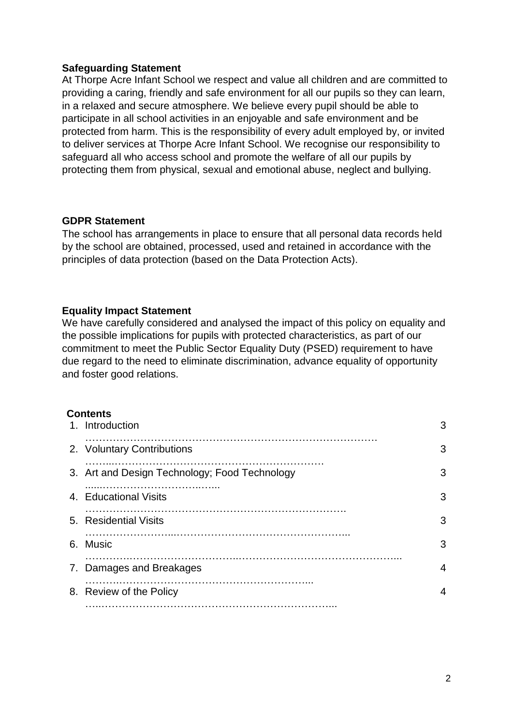#### **Safeguarding Statement**

At Thorpe Acre Infant School we respect and value all children and are committed to providing a caring, friendly and safe environment for all our pupils so they can learn, in a relaxed and secure atmosphere. We believe every pupil should be able to participate in all school activities in an enjoyable and safe environment and be protected from harm. This is the responsibility of every adult employed by, or invited to deliver services at Thorpe Acre Infant School. We recognise our responsibility to safeguard all who access school and promote the welfare of all our pupils by protecting them from physical, sexual and emotional abuse, neglect and bullying.

#### **GDPR Statement**

The school has arrangements in place to ensure that all personal data records held by the school are obtained, processed, used and retained in accordance with the principles of data protection (based on the Data Protection Acts).

#### **Equality Impact Statement**

We have carefully considered and analysed the impact of this policy on equality and the possible implications for pupils with protected characteristics, as part of our commitment to meet the Public Sector Equality Duty (PSED) requirement to have due regard to the need to eliminate discrimination, advance equality of opportunity and foster good relations.

#### **Contents**

| 1. Introduction                               | 3 |
|-----------------------------------------------|---|
| 2. Voluntary Contributions                    | 3 |
| 3. Art and Design Technology; Food Technology | 3 |
| 4. Educational Visits                         | 3 |
| 5. Residential Visits                         | 3 |
| 6. Music                                      | 3 |
| 7. Damages and Breakages                      | 4 |
| 8. Review of the Policy                       | 4 |
|                                               |   |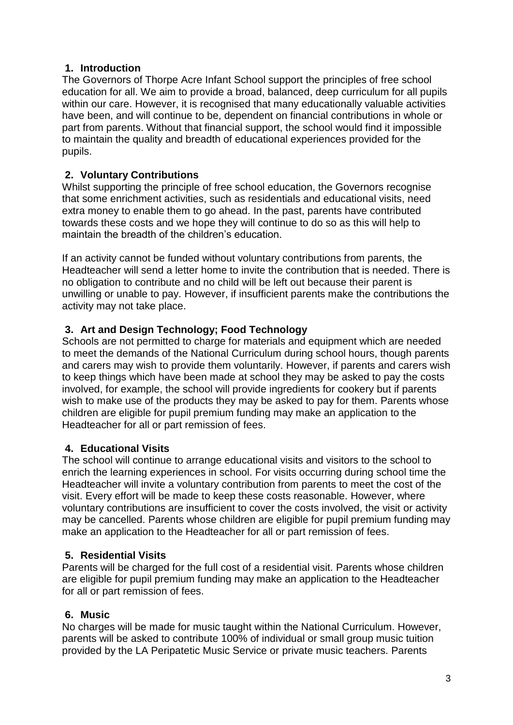#### **1. Introduction**

The Governors of Thorpe Acre Infant School support the principles of free school education for all. We aim to provide a broad, balanced, deep curriculum for all pupils within our care. However, it is recognised that many educationally valuable activities have been, and will continue to be, dependent on financial contributions in whole or part from parents. Without that financial support, the school would find it impossible to maintain the quality and breadth of educational experiences provided for the pupils.

# **2. Voluntary Contributions**

Whilst supporting the principle of free school education, the Governors recognise that some enrichment activities, such as residentials and educational visits, need extra money to enable them to go ahead. In the past, parents have contributed towards these costs and we hope they will continue to do so as this will help to maintain the breadth of the children's education.

If an activity cannot be funded without voluntary contributions from parents, the Headteacher will send a letter home to invite the contribution that is needed. There is no obligation to contribute and no child will be left out because their parent is unwilling or unable to pay. However, if insufficient parents make the contributions the activity may not take place.

### **3. Art and Design Technology; Food Technology**

Schools are not permitted to charge for materials and equipment which are needed to meet the demands of the National Curriculum during school hours, though parents and carers may wish to provide them voluntarily. However, if parents and carers wish to keep things which have been made at school they may be asked to pay the costs involved, for example, the school will provide ingredients for cookery but if parents wish to make use of the products they may be asked to pay for them. Parents whose children are eligible for pupil premium funding may make an application to the Headteacher for all or part remission of fees.

# **4. Educational Visits**

The school will continue to arrange educational visits and visitors to the school to enrich the learning experiences in school. For visits occurring during school time the Headteacher will invite a voluntary contribution from parents to meet the cost of the visit. Every effort will be made to keep these costs reasonable. However, where voluntary contributions are insufficient to cover the costs involved, the visit or activity may be cancelled. Parents whose children are eligible for pupil premium funding may make an application to the Headteacher for all or part remission of fees.

#### **5. Residential Visits**

Parents will be charged for the full cost of a residential visit. Parents whose children are eligible for pupil premium funding may make an application to the Headteacher for all or part remission of fees.

#### **6. Music**

No charges will be made for music taught within the National Curriculum. However, parents will be asked to contribute 100% of individual or small group music tuition provided by the LA Peripatetic Music Service or private music teachers. Parents